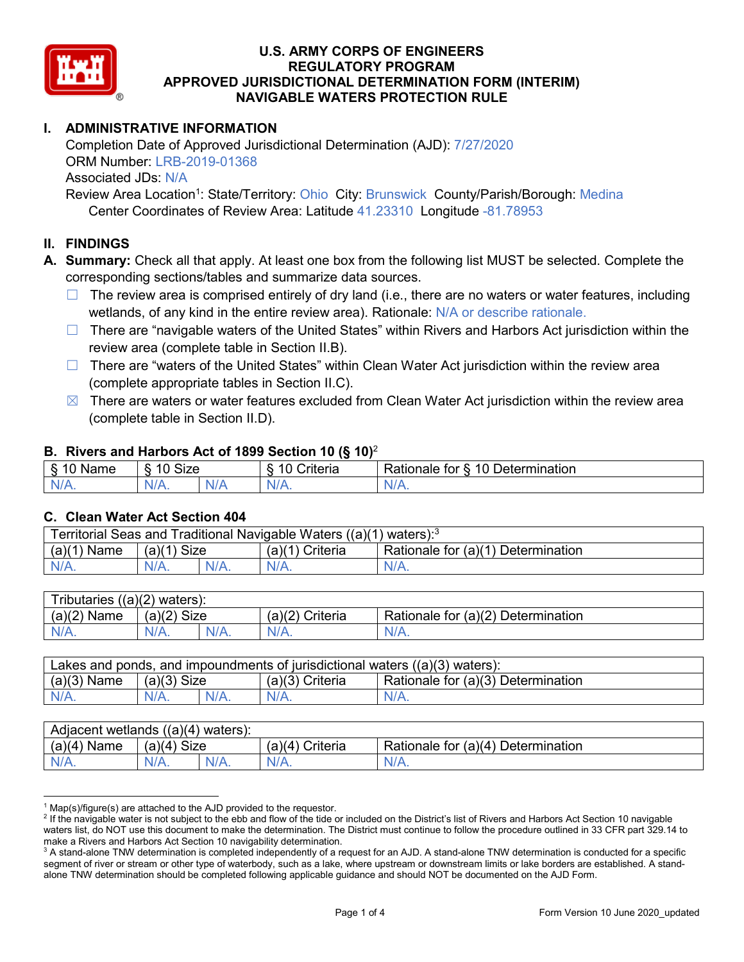

# **I. ADMINISTRATIVE INFORMATION**

Completion Date of Approved Jurisdictional Determination (AJD): 7/27/2020 ORM Number: LRB-2019-01368 Associated JDs: N/A Review Area Location<sup>1</sup>: State/Territory: Ohio City: Brunswick County/Parish/Borough: Medina

Center Coordinates of Review Area: Latitude 41.23310 Longitude -81.78953

#### **II. FINDINGS**

**A. Summary:** Check all that apply. At least one box from the following list MUST be selected. Complete the corresponding sections/tables and summarize data sources.

- $\Box$  The review area is comprised entirely of dry land (i.e., there are no waters or water features, including wetlands, of any kind in the entire review area). Rationale: N/A or describe rationale.
- $\Box$  There are "navigable waters of the United States" within Rivers and Harbors Act jurisdiction within the review area (complete table in Section II.B).
- $\Box$  There are "waters of the United States" within Clean Water Act jurisdiction within the review area (complete appropriate tables in Section II.C).
- $\boxtimes$  There are waters or water features excluded from Clean Water Act jurisdiction within the review area (complete table in Section II.D).

#### **B. Rivers and Harbors Act of 1899 Section 10 (§ 10)**<sup>2</sup>

| $\cdot$                                     |                      |    |                                                         |                                                 |  |  |
|---------------------------------------------|----------------------|----|---------------------------------------------------------|-------------------------------------------------|--|--|
| $\sim$<br>$-1$ and the set of $\sim$<br>ыше | <b>Size</b><br>10    |    | $\mathbf{r}$<br>10<br>-<br>$"$ ritaria<br><b>AILCIT</b> | Determination<br>$\sqrt{ }$<br>⊀atıonale<br>tor |  |  |
| $N/A$ .                                     | $\sim$ $\sim$<br>VA. | N/ | $N/A$ .                                                 | N.<br>$\mathbf{v}$                              |  |  |

#### **C. Clean Water Act Section 404**

| Territorial Seas and Traditional Navigable Waters ((a)(1)<br>` waters): <sup>3</sup> |                |  |                    |                                    |  |  |
|--------------------------------------------------------------------------------------|----------------|--|--------------------|------------------------------------|--|--|
| (a)(1)<br>Name                                                                       | Size<br>(a)(1) |  | (a)(1)<br>Criteria | Rationale for (a)(1) Determination |  |  |
|                                                                                      | $N/A$ .        |  | $N/A$ .            | $N/A$ .                            |  |  |

| Tributaries $((a)(2)$ waters): |               |  |                 |                                    |  |  |
|--------------------------------|---------------|--|-----------------|------------------------------------|--|--|
| $(a)(2)$ Name                  | $(a)(2)$ Size |  | (a)(2) Criteria | Rationale for (a)(2) Determination |  |  |
| $N/A$ .                        | $N/A$ .       |  | $N/A$ .         | $N/A$ .                            |  |  |

| Lakes and ponds, and impoundments of jurisdictional waters $((a)(3)$ waters): |               |  |                   |                                    |  |  |
|-------------------------------------------------------------------------------|---------------|--|-------------------|------------------------------------|--|--|
| $(a)(3)$ Name                                                                 | $(a)(3)$ Size |  | $(a)(3)$ Criteria | Rationale for (a)(3) Determination |  |  |
| $N/A$ .                                                                       | $N/A$ .       |  | $N/A$ .           | $N/A$ .                            |  |  |

| Adjacent wetlands<br>((a)(4)<br>) waters): |                       |         |                   |                                    |  |  |
|--------------------------------------------|-----------------------|---------|-------------------|------------------------------------|--|--|
| (a)(4)<br>Name                             | (a)(4)<br><b>Size</b> |         | Criteria<br>(a)(4 | Rationale for (a)(4) Determination |  |  |
| N/A.                                       | $N/A$ .               | $N/A$ . | $N/A$ .           | $N/A$ .                            |  |  |

 $1$  Map(s)/figure(s) are attached to the AJD provided to the requestor.

<sup>&</sup>lt;sup>2</sup> If the navigable water is not subject to the ebb and flow of the tide or included on the District's list of Rivers and Harbors Act Section 10 navigable waters list, do NOT use this document to make the determination. The District must continue to follow the procedure outlined in 33 CFR part 329.14 to make a Rivers and Harbors Act Section 10 navigability determination.

 $3$  A stand-alone TNW determination is completed independently of a request for an AJD. A stand-alone TNW determination is conducted for a specific segment of river or stream or other type of waterbody, such as a lake, where upstream or downstream limits or lake borders are established. A standalone TNW determination should be completed following applicable guidance and should NOT be documented on the AJD Form.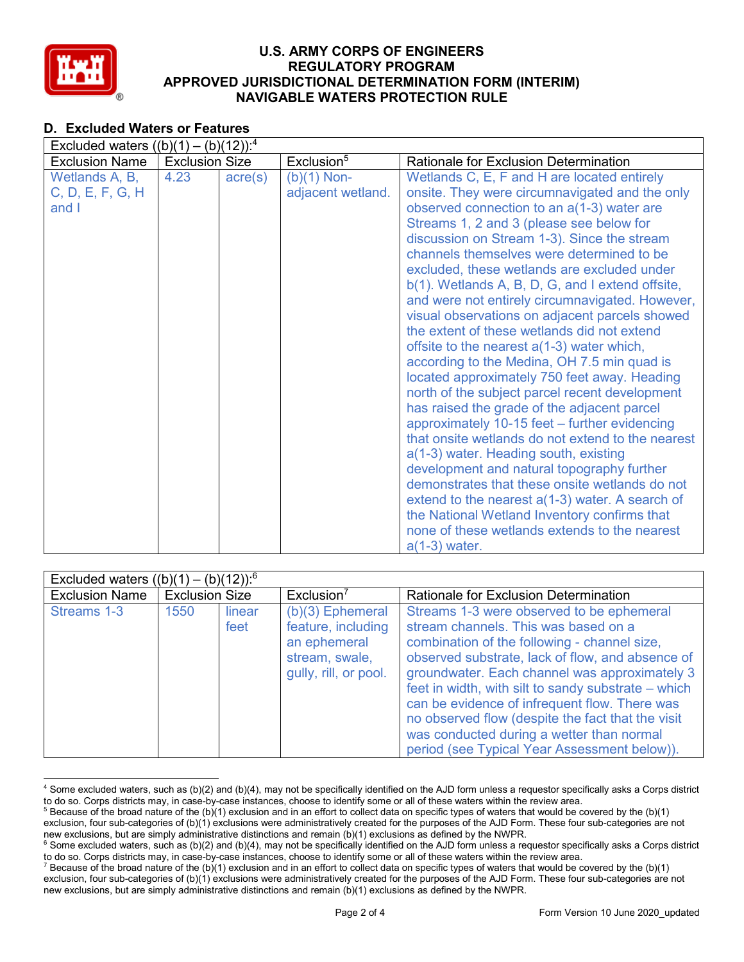

# **D. Excluded Waters or Features**

| Excluded waters $((b)(1) - (b)(12))$ : <sup>4</sup> |                       |                  |                                    |                                                                                                                                                                                                                                                                                                                                                                                                                                                                                                                                                                                                                                                                                                                                                                                                                                                                                                                                                                                                                                                                                                                                                                                               |  |  |
|-----------------------------------------------------|-----------------------|------------------|------------------------------------|-----------------------------------------------------------------------------------------------------------------------------------------------------------------------------------------------------------------------------------------------------------------------------------------------------------------------------------------------------------------------------------------------------------------------------------------------------------------------------------------------------------------------------------------------------------------------------------------------------------------------------------------------------------------------------------------------------------------------------------------------------------------------------------------------------------------------------------------------------------------------------------------------------------------------------------------------------------------------------------------------------------------------------------------------------------------------------------------------------------------------------------------------------------------------------------------------|--|--|
| <b>Exclusion Name</b>                               | <b>Exclusion Size</b> |                  | Exclusion <sup>5</sup>             | <b>Rationale for Exclusion Determination</b>                                                                                                                                                                                                                                                                                                                                                                                                                                                                                                                                                                                                                                                                                                                                                                                                                                                                                                                                                                                                                                                                                                                                                  |  |  |
| Wetlands A, B,<br>C, D, E, F, G, H<br>and I         | 4.23                  | $\text{acre}(s)$ | $(b)(1)$ Non-<br>adjacent wetland. | Wetlands C, E, F and H are located entirely<br>onsite. They were circumnavigated and the only<br>observed connection to an a(1-3) water are<br>Streams 1, 2 and 3 (please see below for<br>discussion on Stream 1-3). Since the stream<br>channels themselves were determined to be<br>excluded, these wetlands are excluded under<br>b(1). Wetlands A, B, D, G, and I extend offsite,<br>and were not entirely circumnavigated. However,<br>visual observations on adjacent parcels showed<br>the extent of these wetlands did not extend<br>offsite to the nearest a(1-3) water which,<br>according to the Medina, OH 7.5 min quad is<br>located approximately 750 feet away. Heading<br>north of the subject parcel recent development<br>has raised the grade of the adjacent parcel<br>approximately 10-15 feet – further evidencing<br>that onsite wetlands do not extend to the nearest<br>a(1-3) water. Heading south, existing<br>development and natural topography further<br>demonstrates that these onsite wetlands do not<br>extend to the nearest $a(1-3)$ water. A search of<br>the National Wetland Inventory confirms that<br>none of these wetlands extends to the nearest |  |  |
|                                                     |                       |                  |                                    | $a(1-3)$ water.                                                                                                                                                                                                                                                                                                                                                                                                                                                                                                                                                                                                                                                                                                                                                                                                                                                                                                                                                                                                                                                                                                                                                                               |  |  |

| Excluded waters $((b)(1) - (b)(12))$ : <sup>6</sup> |                       |                |                                                                                                     |                                                                                                                                                                                                                                                                                                                                                                                                                                                                                                  |  |
|-----------------------------------------------------|-----------------------|----------------|-----------------------------------------------------------------------------------------------------|--------------------------------------------------------------------------------------------------------------------------------------------------------------------------------------------------------------------------------------------------------------------------------------------------------------------------------------------------------------------------------------------------------------------------------------------------------------------------------------------------|--|
| <b>Exclusion Name</b>                               | <b>Exclusion Size</b> |                | Exclusion <sup>7</sup>                                                                              | Rationale for Exclusion Determination                                                                                                                                                                                                                                                                                                                                                                                                                                                            |  |
| Streams 1-3                                         | 1550                  | linear<br>feet | $(b)(3)$ Ephemeral<br>feature, including<br>an ephemeral<br>stream, swale,<br>gully, rill, or pool. | Streams 1-3 were observed to be ephemeral<br>stream channels. This was based on a<br>combination of the following - channel size,<br>observed substrate, lack of flow, and absence of<br>groundwater. Each channel was approximately 3<br>feet in width, with silt to sandy substrate – which<br>can be evidence of infrequent flow. There was<br>no observed flow (despite the fact that the visit<br>was conducted during a wetter than normal<br>period (see Typical Year Assessment below)). |  |

 <sup>4</sup> Some excluded waters, such as (b)(2) and (b)(4), may not be specifically identified on the AJD form unless a requestor specifically asks a Corps district to do so. Corps districts may, in case-by-case instances, choose to identify some or all of these waters within the review area.

<sup>&</sup>lt;sup>5</sup> Because of the broad nature of the (b)(1) exclusion and in an effort to collect data on specific types of waters that would be covered by the (b)(1) exclusion, four sub-categories of (b)(1) exclusions were administratively created for the purposes of the AJD Form. These four sub-categories are not new exclusions, but are simply administrative distinctions and remain (b

<sup>&</sup>lt;sup>6</sup> Some excluded waters, such as (b)(2) and (b)(4), may not be specifically identified on the AJD form unless a requestor specifically asks a Corps district to do so. Corps districts may, in case-by-case instances, choose to identify some or all of these waters within the review area.

<sup>&</sup>lt;sup>7</sup> Because of the broad nature of the (b)(1) exclusion and in an effort to collect data on specific types of waters that would be covered by the (b)(1) exclusion, four sub-categories of (b)(1) exclusions were administratively created for the purposes of the AJD Form. These four sub-categories are not new exclusions, but are simply administrative distinctions and remain (b)(1) exclusions as defined by the NWPR.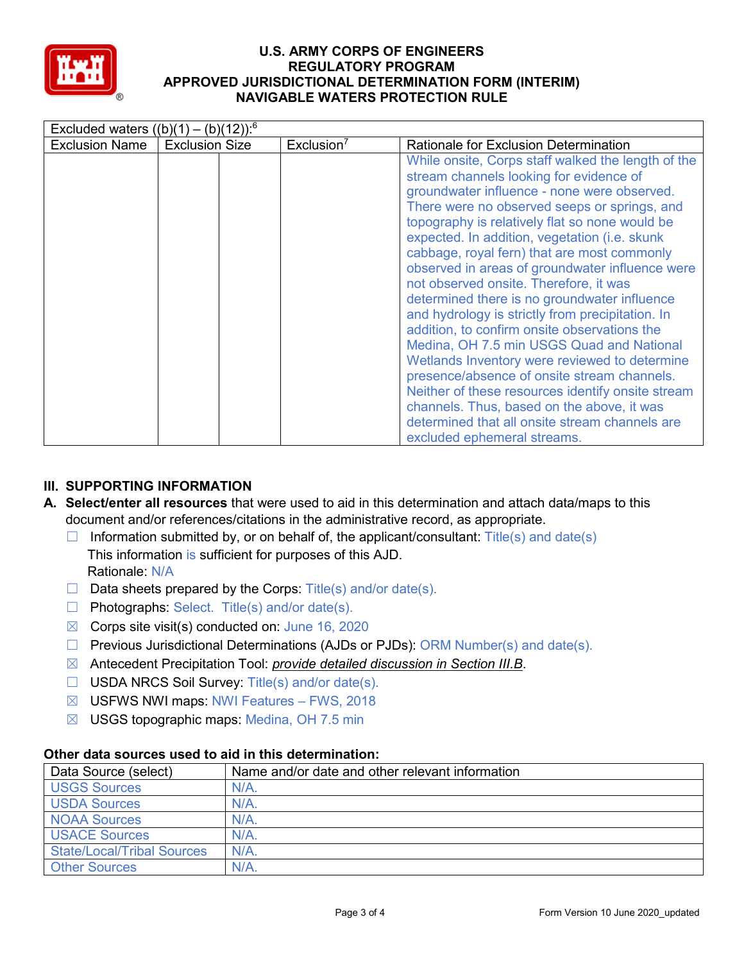

| Excluded waters $((b)(1) - (b)(12))$ : <sup>6</sup> |                       |                        |                                                                                                                                                                                                                                                                                                                                                                                                                                                                                                                                                                                                                                                                                                                                                                                                                                                                                                                                   |  |  |
|-----------------------------------------------------|-----------------------|------------------------|-----------------------------------------------------------------------------------------------------------------------------------------------------------------------------------------------------------------------------------------------------------------------------------------------------------------------------------------------------------------------------------------------------------------------------------------------------------------------------------------------------------------------------------------------------------------------------------------------------------------------------------------------------------------------------------------------------------------------------------------------------------------------------------------------------------------------------------------------------------------------------------------------------------------------------------|--|--|
| <b>Exclusion Name</b>                               | <b>Exclusion Size</b> | Exclusion <sup>7</sup> | Rationale for Exclusion Determination                                                                                                                                                                                                                                                                                                                                                                                                                                                                                                                                                                                                                                                                                                                                                                                                                                                                                             |  |  |
|                                                     |                       |                        | While onsite, Corps staff walked the length of the<br>stream channels looking for evidence of<br>groundwater influence - none were observed.<br>There were no observed seeps or springs, and<br>topography is relatively flat so none would be<br>expected. In addition, vegetation (i.e. skunk)<br>cabbage, royal fern) that are most commonly<br>observed in areas of groundwater influence were<br>not observed onsite. Therefore, it was<br>determined there is no groundwater influence<br>and hydrology is strictly from precipitation. In<br>addition, to confirm onsite observations the<br>Medina, OH 7.5 min USGS Quad and National<br>Wetlands Inventory were reviewed to determine<br>presence/absence of onsite stream channels.<br>Neither of these resources identify onsite stream<br>channels. Thus, based on the above, it was<br>determined that all onsite stream channels are<br>excluded ephemeral streams. |  |  |

# **III. SUPPORTING INFORMATION**

- **A. Select/enter all resources** that were used to aid in this determination and attach data/maps to this document and/or references/citations in the administrative record, as appropriate.
	- $\Box$  Information submitted by, or on behalf of, the applicant/consultant: Title(s) and date(s) This information is sufficient for purposes of this AJD. Rationale: N/A
	- $\Box$  Data sheets prepared by the Corps: Title(s) and/or date(s).
	- $\Box$  Photographs: Select. Title(s) and/or date(s).
	- $\boxtimes$  Corps site visit(s) conducted on: June 16, 2020
	- $\Box$  Previous Jurisdictional Determinations (AJDs or PJDs): ORM Number(s) and date(s).
	- ☒ Antecedent Precipitation Tool: *provide detailed discussion in Section III.B*.
	- ☐ USDA NRCS Soil Survey: Title(s) and/or date(s).
	- ☒ USFWS NWI maps: NWI Features FWS, 2018
	- $\boxtimes$  USGS topographic maps: Medina, OH 7.5 min

| Data Source (select)              | Name and/or date and other relevant information |  |  |  |  |
|-----------------------------------|-------------------------------------------------|--|--|--|--|
| <b>USGS Sources</b>               | $N/A$ .                                         |  |  |  |  |
| <b>USDA Sources</b>               | $N/A$ .                                         |  |  |  |  |
| <b>NOAA Sources</b>               | $N/A$ .                                         |  |  |  |  |
| <b>USACE Sources</b>              | N/A                                             |  |  |  |  |
| <b>State/Local/Tribal Sources</b> | N/A                                             |  |  |  |  |
| <b>Other Sources</b>              | N/A                                             |  |  |  |  |

# **Other data sources used to aid in this determination:**